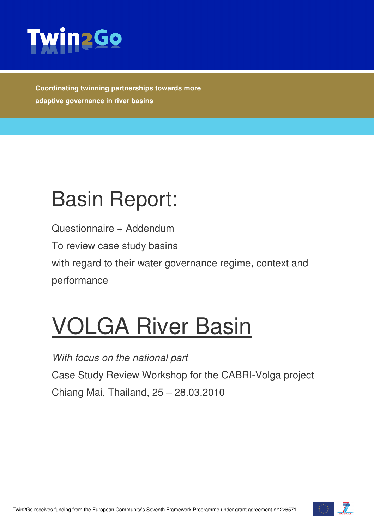

**Coordinating twinning partnerships towards more adaptive governance in river basins** 

## Basin Report:

Questionnaire + Addendum To review case study basins with regard to their water governance regime, context and performance

# VOLGA River Basin

With focus on the national part Case Study Review Workshop for the CABRI-Volga project Chiang Mai, Thailand, 25 – 28.03.2010

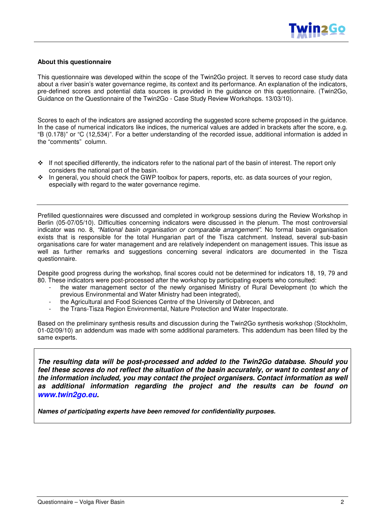#### **About this questionnaire**

This questionnaire was developed within the scope of the Twin2Go project. It serves to record case study data about a river basin's water governance regime, its context and its performance. An explanation of the indicators, pre-defined scores and potential data sources is provided in the guidance on this questionnaire. (Twin2Go, Guidance on the Questionnaire of the Twin2Go - Case Study Review Workshops. 13/03/10).

Scores to each of the indicators are assigned according the suggested score scheme proposed in the guidance. In the case of numerical indicators like indices, the numerical values are added in brackets after the score, e.g. "B (0.178)" or "C (12,534)". For a better understanding of the recorded issue, additional information is added in the "comments" column.

- If not specified differently, the indicators refer to the national part of the basin of interest. The report only considers the national part of the basin.
- In general, you should check the GWP toolbox for papers, reports, etc. as data sources of your region, especially with regard to the water governance regime.

Prefilled questionnaires were discussed and completed in workgroup sessions during the Review Workshop in Berlin (05-07/05/10). Difficulties concerning indicators were discussed in the plenum. The most controversial indicator was no. 8, "National basin organisation or comparable arrangement". No formal basin organisation exists that is responsible for the total Hungarian part of the Tisza catchment. Instead, several sub-basin organisations care for water management and are relatively independent on management issues. This issue as well as further remarks and suggestions concerning several indicators are documented in the Tisza questionnaire.

Despite good progress during the workshop, final scores could not be determined for indicators 18, 19, 79 and 80. These indicators were post-processed after the workshop by participating experts who consulted:

- the water management sector of the newly organised Ministry of Rural Development (to which the previous Environmental and Water Ministry had been integrated),
- the Agricultural and Food Sciences Centre of the University of Debrecen, and
- the Trans-Tisza Region Environmental, Nature Protection and Water Inspectorate.

Based on the preliminary synthesis results and discussion during the Twin2Go synthesis workshop (Stockholm, 01-02/09/10) an addendum was made with some additional parameters. This addendum has been filled by the same experts.

**The resulting data will be post-processed and added to the Twin2Go database. Should you feel these scores do not reflect the situation of the basin accurately, or want to contest any of the information included, you may contact the project organisers. Contact information as well as additional information regarding the project and the results can be found on www.twin2go.eu.** 

**Names of participating experts have been removed for confidentiality purposes.**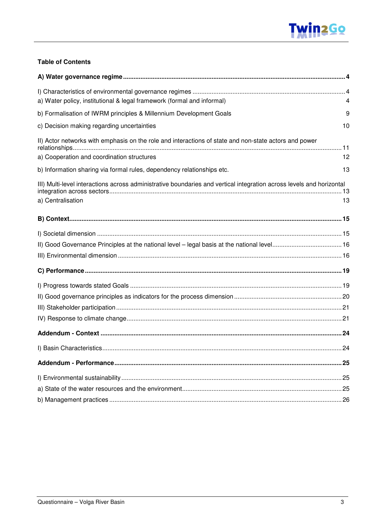

#### **Table of Contents**

| a) Water policy, institutional & legal framework (formal and informal)<br>4                                                                               |
|-----------------------------------------------------------------------------------------------------------------------------------------------------------|
| b) Formalisation of IWRM principles & Millennium Development Goals<br>9                                                                                   |
| c) Decision making regarding uncertainties<br>10                                                                                                          |
| II) Actor networks with emphasis on the role and interactions of state and non-state actors and power<br>a) Cooperation and coordination structures<br>12 |
| b) Information sharing via formal rules, dependency relationships etc.<br>13                                                                              |
| III) Multi-level interactions across administrative boundaries and vertical integration across levels and horizontal<br>a) Centralisation<br>13           |
|                                                                                                                                                           |
|                                                                                                                                                           |
|                                                                                                                                                           |
|                                                                                                                                                           |
|                                                                                                                                                           |
|                                                                                                                                                           |
|                                                                                                                                                           |
|                                                                                                                                                           |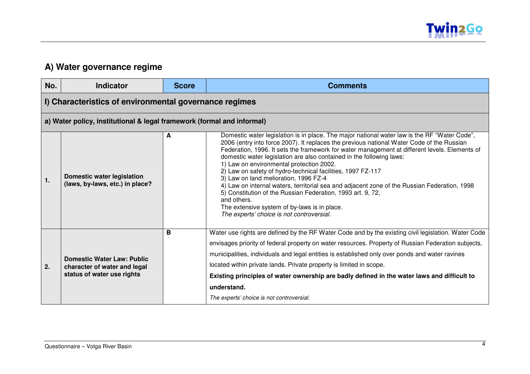

#### **A) Water governance regime**

| No. | <b>Indicator</b>                                                                                | <b>Score</b> | <b>Comments</b>                                                                                                                                                                                                                                                                                                                                                                                                                                                                                                                                                                                                                                                                                                                                                                                   |
|-----|-------------------------------------------------------------------------------------------------|--------------|---------------------------------------------------------------------------------------------------------------------------------------------------------------------------------------------------------------------------------------------------------------------------------------------------------------------------------------------------------------------------------------------------------------------------------------------------------------------------------------------------------------------------------------------------------------------------------------------------------------------------------------------------------------------------------------------------------------------------------------------------------------------------------------------------|
|     | I) Characteristics of environmental governance regimes                                          |              |                                                                                                                                                                                                                                                                                                                                                                                                                                                                                                                                                                                                                                                                                                                                                                                                   |
|     | a) Water policy, institutional & legal framework (formal and informal)                          |              |                                                                                                                                                                                                                                                                                                                                                                                                                                                                                                                                                                                                                                                                                                                                                                                                   |
| 1.  | <b>Domestic water legislation</b><br>(laws, by-laws, etc.) in place?                            | A            | Domestic water legislation is in place. The major national water law is the RF "Water Code",<br>2006 (entry into force 2007). It replaces the previous national Water Code of the Russian<br>Federation, 1996. It sets the framework for water management at different levels. Elements of<br>domestic water legislation are also contained in the following laws:<br>1) Law on environmental protection 2002.<br>2) Law on safety of hydro-technical facilities, 1997 FZ-117<br>3) Law on land melioration, 1996 FZ-4<br>4) Law on internal waters, territorial sea and adjacent zone of the Russian Federation, 1998<br>5) Constitution of the Russian Federation, 1993 art. 9, 72,<br>and others.<br>The extensive system of by-laws is in place.<br>The experts' choice is not controversial. |
| 2.  | <b>Domestic Water Law: Public</b><br>character of water and legal<br>status of water use rights | В            | Water use rights are defined by the RF Water Code and by the existing civil legislation. Water Code<br>envisages priority of federal property on water resources. Property of Russian Federation subjects,<br>municipalities, individuals and legal entities is established only over ponds and water ravines<br>located within private lands. Private property is limited in scope.<br>Existing principles of water ownership are badly defined in the water laws and difficult to<br>understand.<br>The experts' choice is not controversial.                                                                                                                                                                                                                                                   |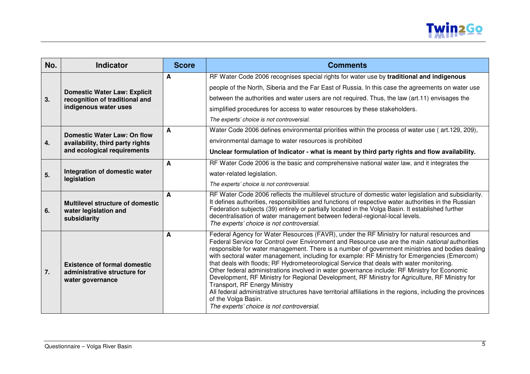

| No. | <b>Indicator</b>                                                                               | <b>Score</b> | <b>Comments</b>                                                                                                                                                                                                                                                                                                                                                                                                                                                                                                                                                                                                                                                                                                                                                                                                                                                                                                            |
|-----|------------------------------------------------------------------------------------------------|--------------|----------------------------------------------------------------------------------------------------------------------------------------------------------------------------------------------------------------------------------------------------------------------------------------------------------------------------------------------------------------------------------------------------------------------------------------------------------------------------------------------------------------------------------------------------------------------------------------------------------------------------------------------------------------------------------------------------------------------------------------------------------------------------------------------------------------------------------------------------------------------------------------------------------------------------|
| 3.  | <b>Domestic Water Law: Explicit</b><br>recognition of traditional and<br>indigenous water uses | A            | RF Water Code 2006 recognises special rights for water use by traditional and indigenous<br>people of the North, Siberia and the Far East of Russia. In this case the agreements on water use<br>between the authorities and water users are not required. Thus, the law (art.11) envisages the<br>simplified procedures for access to water resources by these stakeholders.<br>The experts' choice is not controversial.                                                                                                                                                                                                                                                                                                                                                                                                                                                                                                 |
| 4.  | Domestic Water Law: On flow<br>availability, third party rights<br>and ecological requirements | A            | Water Code 2006 defines environmental priorities within the process of water use (art.129, 209),<br>environmental damage to water resources is prohibited<br>Unclear formulation of Indicator - what is meant by third party rights and flow availability.                                                                                                                                                                                                                                                                                                                                                                                                                                                                                                                                                                                                                                                                 |
| 5.  | Integration of domestic water<br>legislation                                                   | A            | RF Water Code 2006 is the basic and comprehensive national water law, and it integrates the<br>water-related legislation.<br>The experts' choice is not controversial.                                                                                                                                                                                                                                                                                                                                                                                                                                                                                                                                                                                                                                                                                                                                                     |
| 6.  | <b>Multilevel structure of domestic</b><br>water legislation and<br>subsidiarity               | A            | RF Water Code 2006 reflects the multilevel structure of domestic water legislation and subsidiarity.<br>It defines authorities, responsibilities and functions of respective water authorities in the Russian<br>Federation subjects (39) entirely or partially located in the Volga Basin. It established further<br>decentralisation of water management between federal-regional-local levels.<br>The experts' choice is not controversial.                                                                                                                                                                                                                                                                                                                                                                                                                                                                             |
| 7.  | <b>Existence of formal domestic</b><br>administrative structure for<br>water governance        | A            | Federal Agency for Water Resources (FAVR), under the RF Ministry for natural resources and<br>Federal Service for Control over Environment and Resource use are the main national authorities<br>responsible for water management. There is a number of government ministries and bodies dealing<br>with sectoral water management, including for example: RF Ministry for Emergencies (Emercom)<br>that deals with floods; RF Hydrometeorological Service that deals with water monitoring.<br>Other federal administrations involved in water governance include: RF Ministry for Economic<br>Development, RF Ministry for Regional Development, RF Ministry for Agriculture, RF Ministry for<br><b>Transport, RF Energy Ministry</b><br>All federal administrative structures have territorial affiliations in the regions, including the provinces<br>of the Volga Basin.<br>The experts' choice is not controversial. |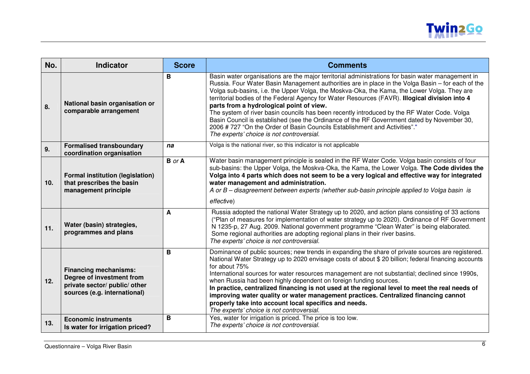

| No. | <b>Indicator</b>                                                                                                           | <b>Score</b>  | <b>Comments</b>                                                                                                                                                                                                                                                                                                                                                                                                                                                                                                                                                                                                                                                                                                                                                             |
|-----|----------------------------------------------------------------------------------------------------------------------------|---------------|-----------------------------------------------------------------------------------------------------------------------------------------------------------------------------------------------------------------------------------------------------------------------------------------------------------------------------------------------------------------------------------------------------------------------------------------------------------------------------------------------------------------------------------------------------------------------------------------------------------------------------------------------------------------------------------------------------------------------------------------------------------------------------|
| 8.  | National basin organisation or<br>comparable arrangement                                                                   | B             | Basin water organisations are the major territorial administrations for basin water management in<br>Russia. Four Water Basin Management authorities are in place in the Volga Basin – for each of the<br>Volga sub-basins, i.e. the Upper Volga, the Moskva-Oka, the Kama, the Lower Volga. They are<br>territorial bodies of the Federal Agency for Water Resources (FAVR). Illogical division into 4<br>parts from a hydrological point of view.<br>The system of river basin councils has been recently introduced by the RF Water Code. Volga<br>Basin Council is established (see the Ordinance of the RF Government dated by November 30,<br>2006 # 727 "On the Order of Basin Councils Establishment and Activities"."<br>The experts' choice is not controversial. |
| 9.  | <b>Formalised transboundary</b><br>coordination organisation                                                               | na            | Volga is the national river, so this indicator is not applicable                                                                                                                                                                                                                                                                                                                                                                                                                                                                                                                                                                                                                                                                                                            |
| 10. | <b>Formal institution (legislation)</b><br>that prescribes the basin<br>management principle                               | <b>B</b> or A | Water basin management principle is sealed in the RF Water Code. Volga basin consists of four<br>sub-basins: the Upper Volga, the Moskva-Oka, the Kama, the Lower Volga. The Code divides the<br>Volga into 4 parts which does not seem to be a very logical and effective way for integrated<br>water management and administration.<br>A or B – disagreement between experts (whether sub-basin principle applied to Volga basin is<br>effective)                                                                                                                                                                                                                                                                                                                         |
| 11. | Water (basin) strategies,<br>programmes and plans                                                                          | A             | Russia adopted the national Water Strategy up to 2020, and action plans consisting of 33 actions<br>("Plan of measures for implementation of water strategy up to 2020). Ordinance of RF Government<br>N 1235-p, 27 Aug. 2009. National government programme "Clean Water" is being elaborated.<br>Some regional authorities are adopting regional plans in their river basins.<br>The experts' choice is not controversial.                                                                                                                                                                                                                                                                                                                                                |
| 12. | <b>Financing mechanisms:</b><br>Degree of investment from<br>private sector/ public/ other<br>sources (e.g. international) | B             | Dominance of public sources; new trends in expanding the share of private sources are registered.<br>National Water Strategy up to 2020 envisage costs of about \$20 billion; federal financing accounts<br>for about 75%<br>International sources for water resources management are not substantial; declined since 1990s,<br>when Russia had been highly dependent on foreign funding sources.<br>In practice, centralized financing is not used at the regional level to meet the real needs of<br>improving water quality or water management practices. Centralized financing cannot<br>properly take into account local specifics and needs.<br>The experts' choice is not controversial.                                                                            |
| 13. | <b>Economic instruments</b><br>Is water for irrigation priced?                                                             | B             | Yes, water for irrigation is priced. The price is too low.<br>The experts' choice is not controversial.                                                                                                                                                                                                                                                                                                                                                                                                                                                                                                                                                                                                                                                                     |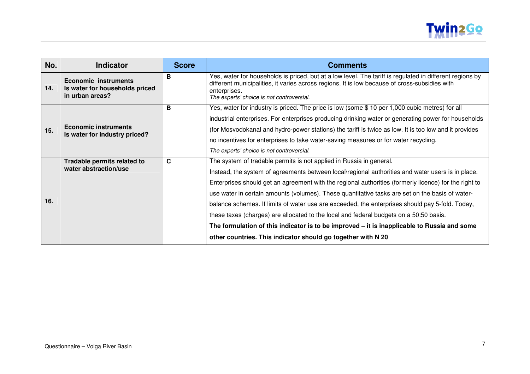

| No. | <b>Indicator</b>                                                                 | <b>Score</b> | <b>Comments</b>                                                                                                                                                                                                                                                                                                                                                                                                                                                                                                                                                                                                                                                                                                                                  |
|-----|----------------------------------------------------------------------------------|--------------|--------------------------------------------------------------------------------------------------------------------------------------------------------------------------------------------------------------------------------------------------------------------------------------------------------------------------------------------------------------------------------------------------------------------------------------------------------------------------------------------------------------------------------------------------------------------------------------------------------------------------------------------------------------------------------------------------------------------------------------------------|
| 14. | <b>Economic instruments</b><br>Is water for households priced<br>in urban areas? | B            | Yes, water for households is priced, but at a low level. The tariff is regulated in different regions by<br>different municipalities, it varies across regions. It is low because of cross-subsidies with<br>enterprises.<br>The experts' choice is not controversial.                                                                                                                                                                                                                                                                                                                                                                                                                                                                           |
| 15. | <b>Economic instruments</b><br>Is water for industry priced?                     | B            | Yes, water for industry is priced. The price is low (some \$10 per 1,000 cubic metres) for all<br>industrial enterprises. For enterprises producing drinking water or generating power for households<br>(for Mosvodokanal and hydro-power stations) the tariff is twice as low. It is too low and it provides<br>no incentives for enterprises to take water-saving measures or for water recycling.<br>The experts' choice is not controversial.                                                                                                                                                                                                                                                                                               |
| 16. | Tradable permits related to<br>water abstraction/use                             | C            | The system of tradable permits is not applied in Russia in general.<br>Instead, the system of agreements between local\regional authorities and water users is in place.<br>Enterprises should get an agreement with the regional authorities (formerly licence) for the right to<br>use water in certain amounts (volumes). These quantitative tasks are set on the basis of water-<br>balance schemes. If limits of water use are exceeded, the enterprises should pay 5-fold. Today,<br>these taxes (charges) are allocated to the local and federal budgets on a 50:50 basis.<br>The formulation of this indicator is to be improved – it is inapplicable to Russia and some<br>other countries. This indicator should go together with N 20 |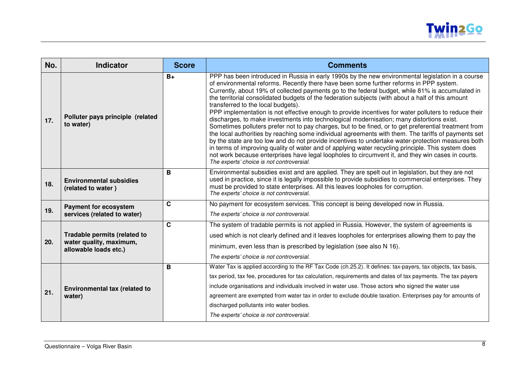

| No. | <b>Indicator</b>                                                                        | <b>Score</b> | <b>Comments</b>                                                                                                                                                                                                                                                                                                                                                                                                                                                                                                                                                                                                                                                                                                                                                                                                                                                                                                                                                                                                                                                                                                                                                                                                               |
|-----|-----------------------------------------------------------------------------------------|--------------|-------------------------------------------------------------------------------------------------------------------------------------------------------------------------------------------------------------------------------------------------------------------------------------------------------------------------------------------------------------------------------------------------------------------------------------------------------------------------------------------------------------------------------------------------------------------------------------------------------------------------------------------------------------------------------------------------------------------------------------------------------------------------------------------------------------------------------------------------------------------------------------------------------------------------------------------------------------------------------------------------------------------------------------------------------------------------------------------------------------------------------------------------------------------------------------------------------------------------------|
| 17. | Polluter pays principle (related<br>to water)                                           | $B+$         | PPP has been introduced in Russia in early 1990s by the new environmental legislation in a course<br>of environmental reforms. Recently there have been some further reforms in PPP system.<br>Currently, about 19% of collected payments go to the federal budget, while 81% is accumulated in<br>the territorial consolidated budgets of the federation subjects (with about a half of this amount<br>transferred to the local budgets).<br>PPP implementation is not effective enough to provide incentives for water polluters to reduce their<br>discharges, to make investments into technological modernisation; many distortions exist.<br>Sometimes polluters prefer not to pay charges, but to be fined, or to get preferential treatment from<br>the local authorities by reaching some individual agreements with them. The tariffs of payments set<br>by the state are too low and do not provide incentives to undertake water-protection measures both<br>in terms of improving quality of water and of applying water recycling principle. This system does<br>not work because enterprises have legal loopholes to circumvent it, and they win cases in courts.<br>The experts' choice is not controversial. |
| 18. | <b>Environmental subsidies</b><br>(related to water)                                    | B            | Environmental subsidies exist and are applied. They are spelt out in legislation, but they are not<br>used in practice, since it is legally impossible to provide subsidies to commercial enterprises. They<br>must be provided to state enterprises. All this leaves loopholes for corruption.<br>The experts' choice is not controversial.                                                                                                                                                                                                                                                                                                                                                                                                                                                                                                                                                                                                                                                                                                                                                                                                                                                                                  |
| 19. | <b>Payment for ecosystem</b><br>services (related to water)                             | $\mathbf{C}$ | No payment for ecosystem services. This concept is being developed now in Russia.<br>The experts' choice is not controversial.                                                                                                                                                                                                                                                                                                                                                                                                                                                                                                                                                                                                                                                                                                                                                                                                                                                                                                                                                                                                                                                                                                |
| 20. | <b>Tradable permits (related to</b><br>water quality, maximum,<br>allowable loads etc.) | $\mathbf{C}$ | The system of tradable permits is not applied in Russia. However, the system of agreements is<br>used which is not clearly defined and it leaves loopholes for enterprises allowing them to pay the<br>minimum, even less than is prescribed by legislation (see also N 16).                                                                                                                                                                                                                                                                                                                                                                                                                                                                                                                                                                                                                                                                                                                                                                                                                                                                                                                                                  |
|     |                                                                                         |              | The experts' choice is not controversial.                                                                                                                                                                                                                                                                                                                                                                                                                                                                                                                                                                                                                                                                                                                                                                                                                                                                                                                                                                                                                                                                                                                                                                                     |
| 21. | Environmental tax (related to<br>water)                                                 | B            | Water Tax is applied according to the RF Tax Code (ch.25.2). It defines: tax-payers, tax objects, tax basis,<br>tax period, tax fee, procedures for tax calculation, requirements and dates of tax payments. The tax payers<br>include organisations and individuals involved in water use. Those actors who signed the water use<br>agreement are exempted from water tax in order to exclude double taxation. Enterprises pay for amounts of<br>discharged pollutants into water bodies.<br>The experts' choice is not controversial.                                                                                                                                                                                                                                                                                                                                                                                                                                                                                                                                                                                                                                                                                       |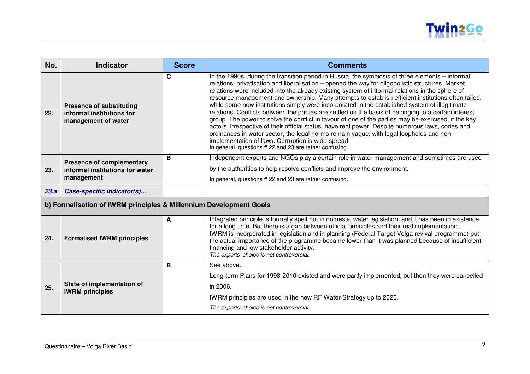

| No.  | <b>Indicator</b>                                                                    | <b>Score</b> | <b>Comments</b>                                                                                                                                                                                                                                                                                                                                                                                                                                                                                                                                                                                                                                                                                                                                                                                                                                                                                                                                                                                                                                |
|------|-------------------------------------------------------------------------------------|--------------|------------------------------------------------------------------------------------------------------------------------------------------------------------------------------------------------------------------------------------------------------------------------------------------------------------------------------------------------------------------------------------------------------------------------------------------------------------------------------------------------------------------------------------------------------------------------------------------------------------------------------------------------------------------------------------------------------------------------------------------------------------------------------------------------------------------------------------------------------------------------------------------------------------------------------------------------------------------------------------------------------------------------------------------------|
| 22.  | <b>Presence of substituting</b><br>informal institutions for<br>management of water | C            | In the 1990s, during the transition period in Russia, the symbiosis of three elements - informal<br>relations, privatisation and liberalisation - opened the way for oligopolistic structures. Market<br>relations were included into the already existing system of informal relations in the sphere of<br>resource management and ownership. Many attempts to establish efficient institutions often failed,<br>while some new institutions simply were incorporated in the established system of illegitimate<br>relations. Conflicts between the parties are settled on the basis of belonging to a certain interest<br>group. The power to solve the conflict in favour of one of the parties may be exercised, if the key<br>actors, irrespective of their official status, have real power. Despite numerous laws, codes and<br>ordinances in water sector, the legal norms remain vague, with legal loopholes and non-<br>implementation of laws. Corruption is wide-spread.<br>In general, questions #22 and 23 are rather confusing. |
| 23.  | <b>Presence of complementary</b><br>informal institutions for water<br>management   | В            | Independent experts and NGOs play a certain role in water management and sometimes are used<br>by the authorities to help resolve conflicts and improve the environment.<br>In general, questions #22 and 23 are rather confusing.                                                                                                                                                                                                                                                                                                                                                                                                                                                                                                                                                                                                                                                                                                                                                                                                             |
| 23.a | Case-specific indicator(s)                                                          |              |                                                                                                                                                                                                                                                                                                                                                                                                                                                                                                                                                                                                                                                                                                                                                                                                                                                                                                                                                                                                                                                |
|      | b) Formalisation of IWRM principles & Millennium Development Goals                  |              |                                                                                                                                                                                                                                                                                                                                                                                                                                                                                                                                                                                                                                                                                                                                                                                                                                                                                                                                                                                                                                                |
|      |                                                                                     | $\mathbf{A}$ | Integrated principle is fermally spelt out in democtic water legislation, and it has been in existence                                                                                                                                                                                                                                                                                                                                                                                                                                                                                                                                                                                                                                                                                                                                                                                                                                                                                                                                         |

| 24. | <b>Formalised IWRM principles</b>                    | A | Integrated principle is formally spelt out in domestic water legislation, and it has been in existence<br>for a long time. But there is a gap between official principles and their real implementation.<br>IWRM is incorporated in legislation and in planning (Federal Target Volga revival programme) but<br>the actual importance of the programme became lower than it was planned because of insufficient<br>financing and low stakeholder activity.<br>The experts' choice is not controversial. |
|-----|------------------------------------------------------|---|---------------------------------------------------------------------------------------------------------------------------------------------------------------------------------------------------------------------------------------------------------------------------------------------------------------------------------------------------------------------------------------------------------------------------------------------------------------------------------------------------------|
| 25. | State of implementation of<br><b>IWRM</b> principles |   | See above.<br>Long-term Plans for 1998-2010 existed and were partly implemented, but then they were cancelled<br>in 2006.<br>IWRM principles are used in the new RF Water Strategy up to 2020.<br>The experts' choice is not controversial.                                                                                                                                                                                                                                                             |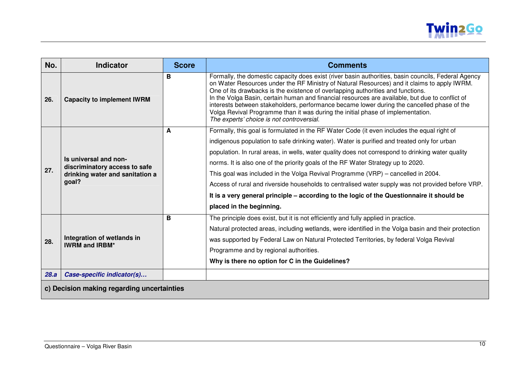

| No.  | <b>Indicator</b>                                                                                   | <b>Score</b> | <b>Comments</b>                                                                                                                                                                                                                                                                                                                                                                                                                                                                                                                                                                                                                                                                                       |  |
|------|----------------------------------------------------------------------------------------------------|--------------|-------------------------------------------------------------------------------------------------------------------------------------------------------------------------------------------------------------------------------------------------------------------------------------------------------------------------------------------------------------------------------------------------------------------------------------------------------------------------------------------------------------------------------------------------------------------------------------------------------------------------------------------------------------------------------------------------------|--|
| 26.  | <b>Capacity to implement IWRM</b>                                                                  | B            | Formally, the domestic capacity does exist (river basin authorities, basin councils, Federal Agency<br>on Water Resources under the RF Ministry of Natural Resources) and it claims to apply IWRM.<br>One of its drawbacks is the existence of overlapping authorities and functions.<br>In the Volga Basin, certain human and financial resources are available, but due to conflict of<br>interests between stakeholders, performance became lower during the cancelled phase of the<br>Volga Revival Programme than it was during the initial phase of implementation.<br>The experts' choice is not controversial.                                                                                |  |
| 27.  | Is universal and non-<br>discriminatory access to safe<br>drinking water and sanitation a<br>goal? | A            | Formally, this goal is formulated in the RF Water Code (it even includes the equal right of<br>indigenous population to safe drinking water). Water is purified and treated only for urban<br>population. In rural areas, in wells, water quality does not correspond to drinking water quality<br>norms. It is also one of the priority goals of the RF Water Strategy up to 2020.<br>This goal was included in the Volga Revival Programme (VRP) – cancelled in 2004.<br>Access of rural and riverside households to centralised water supply was not provided before VRP.<br>It is a very general principle – according to the logic of the Questionnaire it should be<br>placed in the beginning. |  |
| 28.  | Integration of wetlands in<br><b>IWRM and IRBM*</b>                                                | B            | The principle does exist, but it is not efficiently and fully applied in practice.<br>Natural protected areas, including wetlands, were identified in the Volga basin and their protection<br>was supported by Federal Law on Natural Protected Territories, by federal Volga Revival<br>Programme and by regional authorities.<br>Why is there no option for C in the Guidelines?                                                                                                                                                                                                                                                                                                                    |  |
| 28.a | Case-specific indicator(s)                                                                         |              |                                                                                                                                                                                                                                                                                                                                                                                                                                                                                                                                                                                                                                                                                                       |  |
|      | c) Decision making regarding uncertainties                                                         |              |                                                                                                                                                                                                                                                                                                                                                                                                                                                                                                                                                                                                                                                                                                       |  |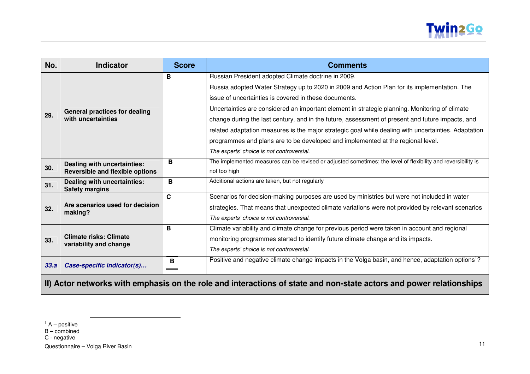

| No.                                                                                                                 | <b>Indicator</b>                                        | <b>Score</b> | <b>Comments</b>                                                                                               |
|---------------------------------------------------------------------------------------------------------------------|---------------------------------------------------------|--------------|---------------------------------------------------------------------------------------------------------------|
|                                                                                                                     |                                                         | в            | Russian President adopted Climate doctrine in 2009.                                                           |
|                                                                                                                     |                                                         |              | Russia adopted Water Strategy up to 2020 in 2009 and Action Plan for its implementation. The                  |
|                                                                                                                     |                                                         |              | issue of uncertainties is covered in these documents.                                                         |
|                                                                                                                     | <b>General practices for dealing</b>                    |              | Uncertainties are considered an important element in strategic planning. Monitoring of climate                |
| 29.                                                                                                                 | with uncertainties                                      |              | change during the last century, and in the future, assessment of present and future impacts, and              |
|                                                                                                                     |                                                         |              | related adaptation measures is the major strategic goal while dealing with uncertainties. Adaptation          |
|                                                                                                                     |                                                         |              | programmes and plans are to be developed and implemented at the regional level.                               |
|                                                                                                                     |                                                         |              | The experts' choice is not controversial.                                                                     |
|                                                                                                                     | Dealing with uncertainties:                             | B            | The implemented measures can be revised or adjusted sometimes; the level of flexibility and reversibility is  |
| 30.                                                                                                                 | <b>Reversible and flexible options</b>                  |              | not too high                                                                                                  |
| 31.                                                                                                                 | Dealing with uncertainties:<br><b>Safety margins</b>    | B            | Additional actions are taken, but not regularly                                                               |
|                                                                                                                     |                                                         | C            | Scenarios for decision-making purposes are used by ministries but were not included in water                  |
| 32.                                                                                                                 | Are scenarios used for decision<br>making?              |              | strategies. That means that unexpected climate variations were not provided by relevant scenarios             |
|                                                                                                                     |                                                         |              | The experts' choice is not controversial.                                                                     |
|                                                                                                                     |                                                         | B            | Climate variability and climate change for previous period were taken in account and regional                 |
| 33.                                                                                                                 | <b>Climate risks: Climate</b><br>variability and change |              | monitoring programmes started to identify future climate change and its impacts.                              |
|                                                                                                                     |                                                         |              | The experts' choice is not controversial.                                                                     |
| 33.a                                                                                                                | Case-specific indicator(s)                              | В            | Positive and negative climate change impacts in the Volga basin, and hence, adaptation options <sup>1</sup> ? |
| II) Actor networks with emphasis on the role and interactions of state and non-state actors and power relationships |                                                         |              |                                                                                                               |

C - negative

Questionnaire – Volga River Basin 11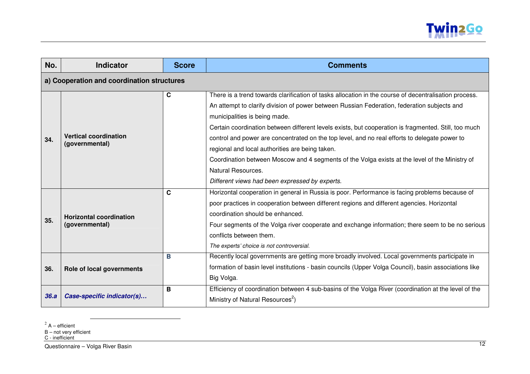

| No.  | <b>Indicator</b>                                 | <b>Score</b> | <b>Comments</b>                                                                                                                                                                                                                                                                                                                                                                                                                                                                                                                                                                                                                                                             |  |
|------|--------------------------------------------------|--------------|-----------------------------------------------------------------------------------------------------------------------------------------------------------------------------------------------------------------------------------------------------------------------------------------------------------------------------------------------------------------------------------------------------------------------------------------------------------------------------------------------------------------------------------------------------------------------------------------------------------------------------------------------------------------------------|--|
|      | a) Cooperation and coordination structures       |              |                                                                                                                                                                                                                                                                                                                                                                                                                                                                                                                                                                                                                                                                             |  |
| 34.  | <b>Vertical coordination</b><br>(governmental)   | С            | There is a trend towards clarification of tasks allocation in the course of decentralisation process.<br>An attempt to clarify division of power between Russian Federation, federation subjects and<br>municipalities is being made.<br>Certain coordination between different levels exists, but cooperation is fragmented. Still, too much<br>control and power are concentrated on the top level, and no real efforts to delegate power to<br>regional and local authorities are being taken.<br>Coordination between Moscow and 4 segments of the Volga exists at the level of the Ministry of<br>Natural Resources.<br>Different views had been expressed by experts. |  |
| 35.  | <b>Horizontal coordination</b><br>(governmental) | C            | Horizontal cooperation in general in Russia is poor. Performance is facing problems because of<br>poor practices in cooperation between different regions and different agencies. Horizontal<br>coordination should be enhanced.<br>Four segments of the Volga river cooperate and exchange information; there seem to be no serious<br>conflicts between them.<br>The experts' choice is not controversial.                                                                                                                                                                                                                                                                |  |
| 36.  | Role of local governments                        | B            | Recently local governments are getting more broadly involved. Local governments participate in<br>formation of basin level institutions - basin councils (Upper Volga Council), basin associations like<br>Big Volga.                                                                                                                                                                                                                                                                                                                                                                                                                                                       |  |
| 36.a | Case-specific indicator(s)                       | B            | Efficiency of coordination between 4 sub-basins of the Volga River (coordination at the level of the<br>Ministry of Natural Resources <sup>2</sup> )                                                                                                                                                                                                                                                                                                                                                                                                                                                                                                                        |  |

 $2$  A – efficient<br>B – not very efficient<br>C - inefficient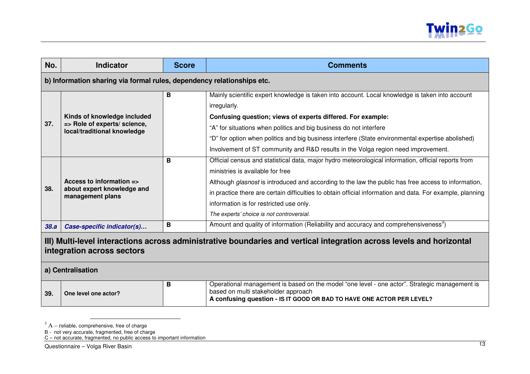

| No.  | <b>Indicator</b>                                                                                                                                                        | <b>Score</b> | <b>Comments</b>                                                                                                                                                                                                                                                                                                                                                                                                                                     |
|------|-------------------------------------------------------------------------------------------------------------------------------------------------------------------------|--------------|-----------------------------------------------------------------------------------------------------------------------------------------------------------------------------------------------------------------------------------------------------------------------------------------------------------------------------------------------------------------------------------------------------------------------------------------------------|
|      | b) Information sharing via formal rules, dependency relationships etc.                                                                                                  |              |                                                                                                                                                                                                                                                                                                                                                                                                                                                     |
| 37.  | Kinds of knowledge included<br>=> Role of experts/ science,<br>local/traditional knowledge                                                                              | в            | Mainly scientific expert knowledge is taken into account. Local knowledge is taken into account<br>irregularly.<br>Confusing question; views of experts differed. For example:<br>"A" for situations when politics and big business do not interfere<br>"D" for option when politics and big business interfere (State environmental expertise abolished)<br>Involvement of ST community and R&D results in the Volga region need improvement.      |
| 38.  | Access to information =><br>about expert knowledge and<br>management plans                                                                                              | B            | Official census and statistical data, major hydro meteorological information, official reports from<br>ministries is available for free<br>Although glasnost is introduced and according to the law the public has free access to information,<br>in practice there are certain difficulties to obtain official information and data. For example, planning<br>information is for restricted use only.<br>The experts' choice is not controversial. |
| 38.a | Case-specific indicator(s)                                                                                                                                              | B            | Amount and quality of information (Reliability and accuracy and comprehensiveness <sup>3</sup> )                                                                                                                                                                                                                                                                                                                                                    |
|      | III) Multi-level interactions across administrative boundaries and vertical integration across levels and horizontal<br>integration across sectors<br>a) Centralisation |              |                                                                                                                                                                                                                                                                                                                                                                                                                                                     |
| 39.  | One level one actor?                                                                                                                                                    | В            | Operational management is based on the model "one level - one actor". Strategic management is<br>based on multi stakeholder approach<br>A confusing question - IS IT GOOD OR BAD TO HAVE ONE ACTOR PER LEVEL?                                                                                                                                                                                                                                       |

 $^3$  A – reliable, comprehensive, free of charge<br>B - not very accurate, fragmented, free of charge<br>C – not accurate, fragmented, no public access to important information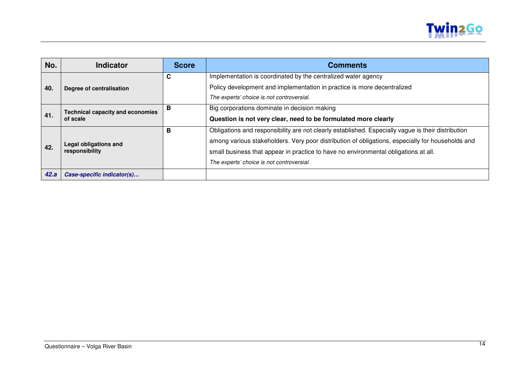

| No.  | Indicator                                           | <b>Score</b> | <b>Comments</b>                                                                                    |
|------|-----------------------------------------------------|--------------|----------------------------------------------------------------------------------------------------|
|      |                                                     | С            | Implementation is coordinated by the centralized water agency                                      |
| 40.  | Degree of centralisation                            |              | Policy development and implementation in practice is more decentralized                            |
|      |                                                     |              | The experts' choice is not controversial.                                                          |
|      | <b>Technical capacity and economies</b><br>of scale | В            | Big corporations dominate in decision making                                                       |
| 41.  |                                                     |              | Question is not very clear, need to be formulated more clearly                                     |
|      |                                                     | В            | Obligations and responsibility are not clearly established. Especially vague is their distribution |
|      | Legal obligations and                               |              | among various stakeholders. Very poor distribution of obligations, especially for households and   |
| 42.  | responsibility                                      |              | small business that appear in practice to have no environmental obligations at all.                |
|      |                                                     |              | The experts' choice is not controversial.                                                          |
| 42.a | Case-specific indicator(s)                          |              |                                                                                                    |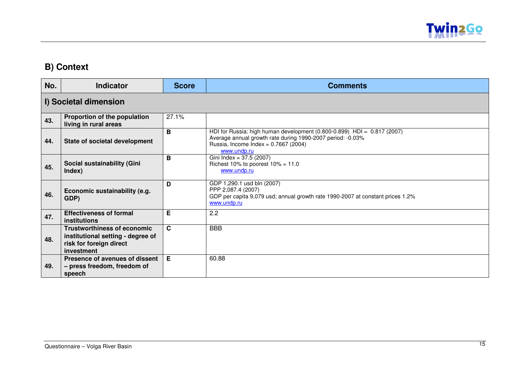

### **B) Context**

| No. | <b>Indicator</b>                                                                                                 | <b>Score</b> | <b>Comments</b>                                                                                                                                                                                  |
|-----|------------------------------------------------------------------------------------------------------------------|--------------|--------------------------------------------------------------------------------------------------------------------------------------------------------------------------------------------------|
|     | I) Societal dimension                                                                                            |              |                                                                                                                                                                                                  |
| 43. | Proportion of the population<br>living in rural areas                                                            | 27.1%        |                                                                                                                                                                                                  |
| 44. | State of societal development                                                                                    | B            | HDI for Russia: high human development $(0.800-0.899)$ HDI = $0.817$ (2007)<br>Average annual growth rate during 1990-2007 period: -0.03%<br>Russia, Income Index = 0.7667 (2004)<br>www.undp.ru |
| 45. | Social sustainability (Gini<br>Index)                                                                            | B            | Gini Index = 37.5 (2007)<br>Richest 10% to poorest $10\% = 11.0$<br>www.undp.ru                                                                                                                  |
| 46. | Economic sustainability (e.g.<br>GDP)                                                                            | D            | GDP 1,290.1 usd bln (2007)<br>PPP 2,087.4 (2007)<br>GDP per capita 9,079 usd; annual growth rate 1990-2007 at constant prices 1.2%<br>www.undp.ru                                                |
| 47. | <b>Effectiveness of formal</b><br>institutions                                                                   | Е            | 2.2                                                                                                                                                                                              |
| 48. | <b>Trustworthiness of economic</b><br>institutional setting - degree of<br>risk for foreign direct<br>investment | $\mathbf{C}$ | <b>BBB</b>                                                                                                                                                                                       |
| 49. | Presence of avenues of dissent<br>- press freedom, freedom of<br>speech                                          | E            | 60.88                                                                                                                                                                                            |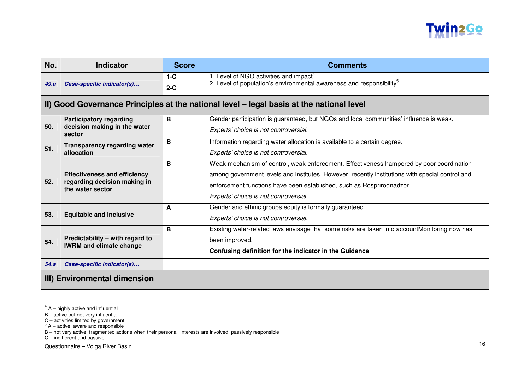

| No.                          | <b>Indicator</b>                                                                        | <b>Score</b>   | <b>Comments</b>                                                                                                                                                                                                                                                                                               |
|------------------------------|-----------------------------------------------------------------------------------------|----------------|---------------------------------------------------------------------------------------------------------------------------------------------------------------------------------------------------------------------------------------------------------------------------------------------------------------|
| 49.a                         | Case-specific indicator(s)                                                              | $1-C$<br>$2-C$ | 1. Level of NGO activities and impact <sup>4</sup><br>2. Level of population's environmental awareness and responsibility <sup>5</sup>                                                                                                                                                                        |
|                              |                                                                                         |                | II) Good Governance Principles at the national level – legal basis at the national level                                                                                                                                                                                                                      |
| 50.                          | <b>Participatory regarding</b><br>decision making in the water<br>sector                | B              | Gender participation is guaranteed, but NGOs and local communities' influence is weak.<br>Experts' choice is not controversial.                                                                                                                                                                               |
| 51.                          | <b>Transparency regarding water</b><br>allocation                                       | B              | Information regarding water allocation is available to a certain degree.<br>Experts' choice is not controversial.                                                                                                                                                                                             |
| 52.                          | <b>Effectiveness and efficiency</b><br>regarding decision making in<br>the water sector | В              | Weak mechanism of control, weak enforcement. Effectiveness hampered by poor coordination<br>among government levels and institutes. However, recently institutions with special control and<br>enforcement functions have been established, such as Rosprirodnadzor.<br>Experts' choice is not controversial. |
| 53.                          | <b>Equitable and inclusive</b>                                                          | A              | Gender and ethnic groups equity is formally guaranteed.<br>Experts' choice is not controversial.                                                                                                                                                                                                              |
| 54.                          | Predictability - with regard to<br><b>IWRM and climate change</b>                       | B              | Existing water-related laws envisage that some risks are taken into accountMonitoring now has<br>been improved.<br>Confusing definition for the indicator in the Guidance                                                                                                                                     |
| 54.a                         | Case-specific indicator(s)                                                              |                |                                                                                                                                                                                                                                                                                                               |
| III) Environmental dimension |                                                                                         |                |                                                                                                                                                                                                                                                                                                               |

- 
- 
- 

 $4$  A – highly active and influential<br>B – active but not very influential<br>C – activities limited by government<br><sup>5</sup> A – active, aware and responsible<br>B – not very active, fragmented actions when their personal interests ar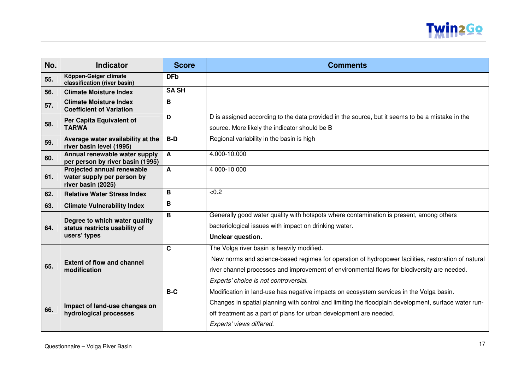

| No. | <b>Indicator</b>                                                               | <b>Score</b> | <b>Comments</b>                                                                                                                                                                                                                                                                                   |
|-----|--------------------------------------------------------------------------------|--------------|---------------------------------------------------------------------------------------------------------------------------------------------------------------------------------------------------------------------------------------------------------------------------------------------------|
| 55. | Köppen-Geiger climate<br>classification (river basin)                          | <b>DFb</b>   |                                                                                                                                                                                                                                                                                                   |
| 56. | <b>Climate Moisture Index</b>                                                  | <b>SA SH</b> |                                                                                                                                                                                                                                                                                                   |
| 57. | <b>Climate Moisture Index</b><br><b>Coefficient of Variation</b>               | B            |                                                                                                                                                                                                                                                                                                   |
| 58. | Per Capita Equivalent of<br><b>TARWA</b>                                       | D            | D is assigned according to the data provided in the source, but it seems to be a mistake in the<br>source. More likely the indicator should be B                                                                                                                                                  |
| 59. | Average water availability at the<br>river basin level (1995)                  | $B-D$        | Regional variability in the basin is high                                                                                                                                                                                                                                                         |
| 60. | Annual renewable water supply<br>per person by river basin (1995)              | A            | 4.000-10.000                                                                                                                                                                                                                                                                                      |
| 61. | Projected annual renewable<br>water supply per person by<br>river basin (2025) | A            | 4 000-10 000                                                                                                                                                                                                                                                                                      |
| 62. | <b>Relative Water Stress Index</b>                                             | B            | < 0.2                                                                                                                                                                                                                                                                                             |
| 63. | <b>Climate Vulnerability Index</b>                                             | B            |                                                                                                                                                                                                                                                                                                   |
| 64. | Degree to which water quality<br>status restricts usability of<br>users' types | B            | Generally good water quality with hotspots where contamination is present, among others<br>bacteriological issues with impact on drinking water.<br>Unclear question.                                                                                                                             |
| 65. | <b>Extent of flow and channel</b><br>modification                              | $\mathbf C$  | The Volga river basin is heavily modified.<br>New norms and science-based regimes for operation of hydropower facilities, restoration of natural<br>river channel processes and improvement of environmental flows for biodiversity are needed.<br>Experts' choice is not controversial.          |
| 66. | Impact of land-use changes on<br>hydrological processes                        | $B-C$        | Modification in land-use has negative impacts on ecosystem services in the Volga basin.<br>Changes in spatial planning with control and limiting the floodplain development, surface water run-<br>off treatment as a part of plans for urban development are needed.<br>Experts' views differed. |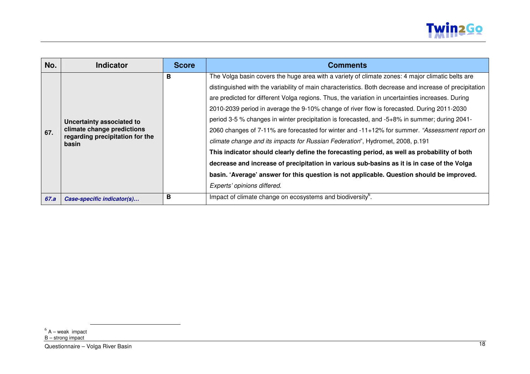

| No.  | <b>Indicator</b>                                                                                    | <b>Score</b> | <b>Comments</b>                                                                                         |
|------|-----------------------------------------------------------------------------------------------------|--------------|---------------------------------------------------------------------------------------------------------|
|      |                                                                                                     | в            | The Volga basin covers the huge area with a variety of climate zones: 4 major climatic belts are        |
|      |                                                                                                     |              | distinguished with the variability of main characteristics. Both decrease and increase of precipitation |
|      |                                                                                                     |              | are predicted for different Volga regions. Thus, the variation in uncertainties increases. During       |
|      |                                                                                                     |              | 2010-2039 period in average the 9-10% change of river flow is forecasted. During 2011-2030              |
|      | Uncertainty associated to<br>climate change predictions<br>regarding precipitation for the<br>basin |              | period 3-5 % changes in winter precipitation is forecasted, and -5+8% in summer; during 2041-           |
| 67.  |                                                                                                     |              | 2060 changes of 7-11% are forecasted for winter and -11+12% for summer. "Assessment report on           |
|      |                                                                                                     |              | climate change and its impacts for Russian Federation", Hydromet, 2008, p.191                           |
|      |                                                                                                     |              | This indicator should clearly define the forecasting period, as well as probability of both             |
|      |                                                                                                     |              | decrease and increase of precipitation in various sub-basins as it is in case of the Volga              |
|      |                                                                                                     |              | basin. 'Average' answer for this question is not applicable. Question should be improved.               |
|      |                                                                                                     |              | Experts' opinions differed.                                                                             |
| 67.a | Case-specific indicator(s)                                                                          | в            | Impact of climate change on ecosystems and biodiversity <sup>6</sup> .                                  |

<sup>&</sup>lt;sup>6</sup> A – weak impact<br>B – strong impact

<sup>&</sup>lt;u>Chroning impact</u><br>Questionnaire – Volga River Basin 18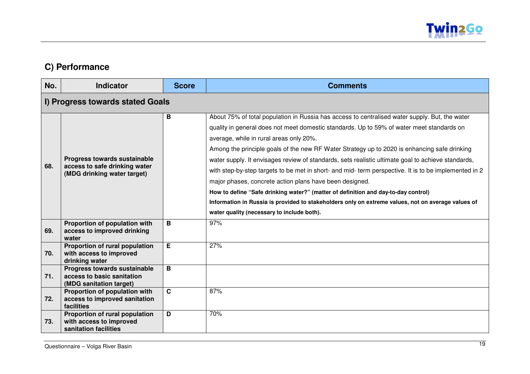

## **C) Performance**

| No. | <b>Indicator</b>                                                                             | <b>Score</b> | <b>Comments</b>                                                                                                                                                                                                                                                                                                                                                                                                                                                                                                                                                                                                                                                                                                                                                                                                                                            |
|-----|----------------------------------------------------------------------------------------------|--------------|------------------------------------------------------------------------------------------------------------------------------------------------------------------------------------------------------------------------------------------------------------------------------------------------------------------------------------------------------------------------------------------------------------------------------------------------------------------------------------------------------------------------------------------------------------------------------------------------------------------------------------------------------------------------------------------------------------------------------------------------------------------------------------------------------------------------------------------------------------|
|     | I) Progress towards stated Goals                                                             |              |                                                                                                                                                                                                                                                                                                                                                                                                                                                                                                                                                                                                                                                                                                                                                                                                                                                            |
| 68. | Progress towards sustainable<br>access to safe drinking water<br>(MDG drinking water target) | B            | About 75% of total population in Russia has access to centralised water supply. But, the water<br>quality in general does not meet domestic standards. Up to 59% of water meet standards on<br>average, while in rural areas only 20%.<br>Among the principle goals of the new RF Water Strategy up to 2020 is enhancing safe drinking<br>water supply. It envisages review of standards, sets realistic ultimate goal to achieve standards,<br>with step-by-step targets to be met in short- and mid- term perspective. It is to be implemented in 2<br>major phases, concrete action plans have been designed.<br>How to define "Safe drinking water?" (matter of definition and day-to-day control)<br>Information in Russia is provided to stakeholders only on extreme values, not on average values of<br>water quality (necessary to include both). |
| 69. | Proportion of population with<br>access to improved drinking<br>water                        | B            | 97%                                                                                                                                                                                                                                                                                                                                                                                                                                                                                                                                                                                                                                                                                                                                                                                                                                                        |
| 70. | Proportion of rural population<br>with access to improved<br>drinking water                  | E.           | 27%                                                                                                                                                                                                                                                                                                                                                                                                                                                                                                                                                                                                                                                                                                                                                                                                                                                        |
| 71. | Progress towards sustainable<br>access to basic sanitation<br>(MDG sanitation target)        | B            |                                                                                                                                                                                                                                                                                                                                                                                                                                                                                                                                                                                                                                                                                                                                                                                                                                                            |
| 72. | Proportion of population with<br>access to improved sanitation<br>facilities                 | $\mathbf{C}$ | 87%                                                                                                                                                                                                                                                                                                                                                                                                                                                                                                                                                                                                                                                                                                                                                                                                                                                        |
| 73. | Proportion of rural population<br>with access to improved<br>sanitation facilities           | D            | 70%                                                                                                                                                                                                                                                                                                                                                                                                                                                                                                                                                                                                                                                                                                                                                                                                                                                        |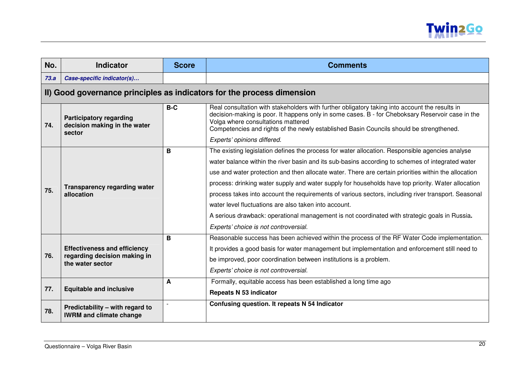

| No.  | <b>Indicator</b>                                                                        | <b>Score</b> | <b>Comments</b>                                                                                                                                                                                                                                                                                                                                                                                                                                                                                                                                                                                                                                                                                                             |
|------|-----------------------------------------------------------------------------------------|--------------|-----------------------------------------------------------------------------------------------------------------------------------------------------------------------------------------------------------------------------------------------------------------------------------------------------------------------------------------------------------------------------------------------------------------------------------------------------------------------------------------------------------------------------------------------------------------------------------------------------------------------------------------------------------------------------------------------------------------------------|
| 73.a | Case-specific indicator(s)                                                              |              |                                                                                                                                                                                                                                                                                                                                                                                                                                                                                                                                                                                                                                                                                                                             |
|      |                                                                                         |              | II) Good governance principles as indicators for the process dimension                                                                                                                                                                                                                                                                                                                                                                                                                                                                                                                                                                                                                                                      |
| 74.  | <b>Participatory regarding</b><br>decision making in the water<br>sector                | $B-C$        | Real consultation with stakeholders with further obligatory taking into account the results in<br>decision-making is poor. It happens only in some cases. B - for Cheboksary Reservoir case in the<br>Volga where consultations mattered<br>Competencies and rights of the newly established Basin Councils should be strengthened.<br>Experts' opinions differed.                                                                                                                                                                                                                                                                                                                                                          |
| 75.  | <b>Transparency regarding water</b><br>allocation                                       | B            | The existing legislation defines the process for water allocation. Responsible agencies analyse<br>water balance within the river basin and its sub-basins according to schemes of integrated water<br>use and water protection and then allocate water. There are certain priorities within the allocation<br>process: drinking water supply and water supply for households have top priority. Water allocation<br>process takes into account the requirements of various sectors, including river transport. Seasonal<br>water level fluctuations are also taken into account.<br>A serious drawback: operational management is not coordinated with strategic goals in Russia.<br>Experts' choice is not controversial. |
| 76.  | <b>Effectiveness and efficiency</b><br>regarding decision making in<br>the water sector | B            | Reasonable success has been achieved within the process of the RF Water Code implementation.<br>It provides a good basis for water management but implementation and enforcement still need to<br>be improved, poor coordination between institutions is a problem.<br>Experts' choice is not controversial.                                                                                                                                                                                                                                                                                                                                                                                                                |
| 77.  | <b>Equitable and inclusive</b>                                                          | A            | Formally, equitable access has been established a long time ago<br><b>Repeats N 53 indicator</b>                                                                                                                                                                                                                                                                                                                                                                                                                                                                                                                                                                                                                            |
| 78.  | Predictability - with regard to<br><b>IWRM and climate change</b>                       |              | Confusing question. It repeats N 54 Indicator                                                                                                                                                                                                                                                                                                                                                                                                                                                                                                                                                                                                                                                                               |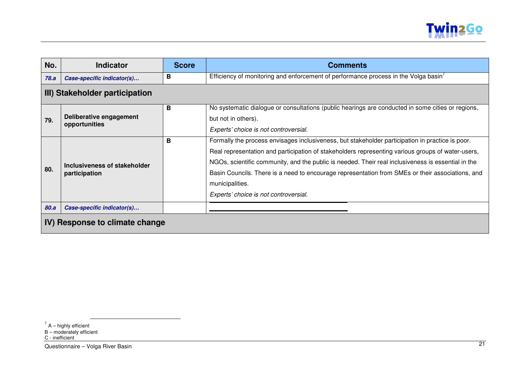

| No.                            | <b>Indicator</b>                              | <b>Score</b> | <b>Comments</b>                                                                                                                                                                                                                                                                                                                                                                                                                                                             |  |  |
|--------------------------------|-----------------------------------------------|--------------|-----------------------------------------------------------------------------------------------------------------------------------------------------------------------------------------------------------------------------------------------------------------------------------------------------------------------------------------------------------------------------------------------------------------------------------------------------------------------------|--|--|
| 78.a                           | Case-specific indicator(s)                    | в            | Efficiency of monitoring and enforcement of performance process in the Volga basin <sup>'</sup>                                                                                                                                                                                                                                                                                                                                                                             |  |  |
|                                | III) Stakeholder participation                |              |                                                                                                                                                                                                                                                                                                                                                                                                                                                                             |  |  |
| 79.                            | Deliberative engagement<br>opportunities      | B            | No systematic dialogue or consultations (public hearings are conducted in some cities or regions,<br>but not in others).<br>Experts' choice is not controversial.                                                                                                                                                                                                                                                                                                           |  |  |
| 80.                            | Inclusiveness of stakeholder<br>participation | B            | Formally the process envisages inclusiveness, but stakeholder participation in practice is poor.<br>Real representation and participation of stakeholders representing various groups of water-users,<br>NGOs, scientific community, and the public is needed. Their real inclusiveness is essential in the<br>Basin Councils. There is a need to encourage representation from SMEs or their associations, and<br>municipalities.<br>Experts' choice is not controversial. |  |  |
| 80.a                           | Case-specific indicator(s)                    |              |                                                                                                                                                                                                                                                                                                                                                                                                                                                                             |  |  |
| IV) Response to climate change |                                               |              |                                                                                                                                                                                                                                                                                                                                                                                                                                                                             |  |  |

 $^7$  A – highly efficient<br>B – moderately efficient<br>C - inefficient

<sup>&</sup>lt;u>Children Children Children Children Children Children Children Children Children Children Children Children Children Children Children Children Children Children Children Children Children Children Children Children Child</u>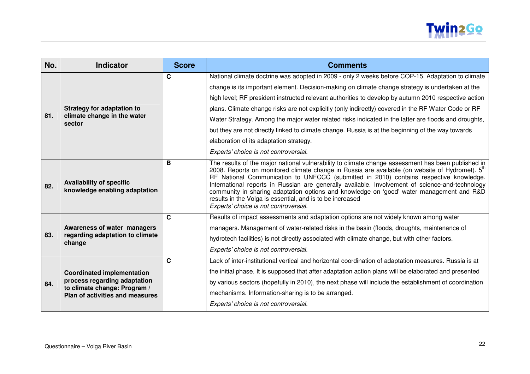

| No. | <b>Indicator</b>                                                                                                                            | <b>Score</b> | <b>Comments</b>                                                                                                                                                                                                                                                                                                                                                                                                                                                                                                                                                                                                                                                                                                       |
|-----|---------------------------------------------------------------------------------------------------------------------------------------------|--------------|-----------------------------------------------------------------------------------------------------------------------------------------------------------------------------------------------------------------------------------------------------------------------------------------------------------------------------------------------------------------------------------------------------------------------------------------------------------------------------------------------------------------------------------------------------------------------------------------------------------------------------------------------------------------------------------------------------------------------|
| 81. | <b>Strategy for adaptation to</b><br>climate change in the water<br>sector                                                                  | C            | National climate doctrine was adopted in 2009 - only 2 weeks before COP-15. Adaptation to climate<br>change is its important element. Decision-making on climate change strategy is undertaken at the<br>high level; RF president instructed relevant authorities to develop by autumn 2010 respective action<br>plans. Climate change risks are not explicitly (only indirectly) covered in the RF Water Code or RF<br>Water Strategy. Among the major water related risks indicated in the latter are floods and droughts,<br>but they are not directly linked to climate change. Russia is at the beginning of the way towards<br>elaboration of its adaptation strategy.<br>Experts' choice is not controversial. |
| 82. | <b>Availability of specific</b><br>knowledge enabling adaptation                                                                            | B            | The results of the major national vulnerability to climate change assessment has been published in<br>2008. Reports on monitored climate change in Russia are available (on website of Hydromet). $5th$<br>RF National Communication to UNFCCC (submitted in 2010) contains respective knowledge.<br>International reports in Russian are generally available. Involvement of science-and-technology<br>community in sharing adaptation options and knowledge on 'good' water management and R&D<br>results in the Volga is essential, and is to be increased<br>Experts' choice is not controversial.                                                                                                                |
| 83. | Awareness of water managers<br>regarding adaptation to climate<br>change                                                                    | $\mathbf{C}$ | Results of impact assessments and adaptation options are not widely known among water<br>managers. Management of water-related risks in the basin (floods, droughts, maintenance of<br>hydrotech facilities) is not directly associated with climate change, but with other factors.<br>Experts' choice is not controversial.                                                                                                                                                                                                                                                                                                                                                                                         |
| 84. | <b>Coordinated implementation</b><br>process regarding adaptation<br>to climate change: Program /<br><b>Plan of activities and measures</b> | $\mathbf{C}$ | Lack of inter-institutional vertical and horizontal coordination of adaptation measures. Russia is at<br>the initial phase. It is supposed that after adaptation action plans will be elaborated and presented<br>by various sectors (hopefully in 2010), the next phase will include the establishment of coordination<br>mechanisms. Information-sharing is to be arranged.<br>Experts' choice is not controversial.                                                                                                                                                                                                                                                                                                |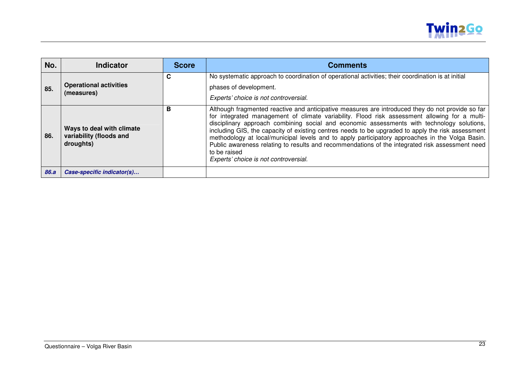

| No.  | Indicator                                                         | <b>Score</b> | <b>Comments</b>                                                                                                                                                                                                                                                                                                                                                                                                                                                                                                                                                                                                                                                     |
|------|-------------------------------------------------------------------|--------------|---------------------------------------------------------------------------------------------------------------------------------------------------------------------------------------------------------------------------------------------------------------------------------------------------------------------------------------------------------------------------------------------------------------------------------------------------------------------------------------------------------------------------------------------------------------------------------------------------------------------------------------------------------------------|
| 85.  | <b>Operational activities</b><br>(measures)                       | C            | No systematic approach to coordination of operational activities; their coordination is at initial<br>phases of development.<br>Experts' choice is not controversial.                                                                                                                                                                                                                                                                                                                                                                                                                                                                                               |
| 86.  | Ways to deal with climate<br>variability (floods and<br>droughts) | В            | Although fragmented reactive and anticipative measures are introduced they do not provide so far<br>for integrated management of climate variability. Flood risk assessment allowing for a multi-<br>disciplinary approach combining social and economic assessments with technology solutions,<br>including GIS, the capacity of existing centres needs to be upgraded to apply the risk assessment<br>methodology at local/municipal levels and to apply participatory approaches in the Volga Basin.<br>Public awareness relating to results and recommendations of the integrated risk assessment need<br>to be raised<br>Experts' choice is not controversial. |
| 86.a | Case-specific indicator(s)                                        |              |                                                                                                                                                                                                                                                                                                                                                                                                                                                                                                                                                                                                                                                                     |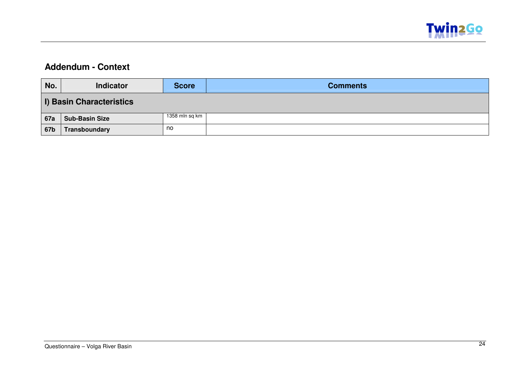

### **Addendum - Context**

| No.        | <b>Indicator</b>                | Score          | <b>Comments</b> |  |  |
|------------|---------------------------------|----------------|-----------------|--|--|
|            | <b>I) Basin Characteristics</b> |                |                 |  |  |
| <b>67a</b> | <b>Sub-Basin Size</b>           | 1358 mln sq km |                 |  |  |
| 67b        | Transboundary                   | no             |                 |  |  |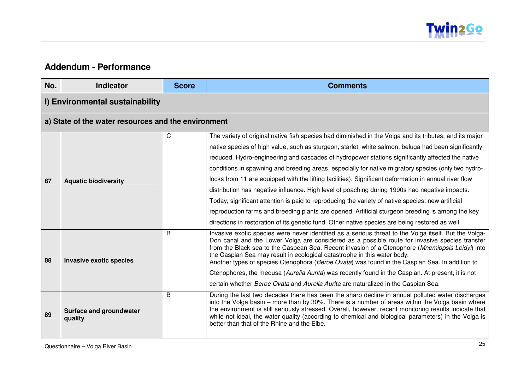

#### **Addendum - Performance**

| No. | <b>Indicator</b>                                    | <b>Score</b> | <b>Comments</b>                                                                                                                                                                                                                                                                                                                                                                                                                                                                          |
|-----|-----------------------------------------------------|--------------|------------------------------------------------------------------------------------------------------------------------------------------------------------------------------------------------------------------------------------------------------------------------------------------------------------------------------------------------------------------------------------------------------------------------------------------------------------------------------------------|
|     | I) Environmental sustainability                     |              |                                                                                                                                                                                                                                                                                                                                                                                                                                                                                          |
|     | a) State of the water resources and the environment |              |                                                                                                                                                                                                                                                                                                                                                                                                                                                                                          |
|     |                                                     | C            | The variety of original native fish species had diminished in the Volga and its tributes, and its major                                                                                                                                                                                                                                                                                                                                                                                  |
|     |                                                     |              | native species of high value, such as sturgeon, starlet, white salmon, beluga had been significantly                                                                                                                                                                                                                                                                                                                                                                                     |
|     |                                                     |              | reduced. Hydro-engineering and cascades of hydropower stations significantly affected the native                                                                                                                                                                                                                                                                                                                                                                                         |
|     |                                                     |              | conditions in spawning and breeding areas, especially for native migratory species (only two hydro-                                                                                                                                                                                                                                                                                                                                                                                      |
| 87  | <b>Aquatic biodiversity</b>                         |              | locks from 11 are equipped with the lifting facilities). Significant deformation in annual river flow                                                                                                                                                                                                                                                                                                                                                                                    |
|     |                                                     |              | distribution has negative influence. High level of poaching during 1990s had negative impacts.                                                                                                                                                                                                                                                                                                                                                                                           |
|     |                                                     |              | Today, significant attention is paid to reproducing the variety of native species: new artificial                                                                                                                                                                                                                                                                                                                                                                                        |
|     |                                                     |              | reproduction farms and breeding plants are opened. Artificial sturgeon breeding is among the key                                                                                                                                                                                                                                                                                                                                                                                         |
|     |                                                     |              | directions in restoration of its genetic fund. Other native species are being restored as well.                                                                                                                                                                                                                                                                                                                                                                                          |
| 88  | <b>Invasive exotic species</b>                      | B            | Invasive exotic species were never identified as a serious threat to the Volga itself. But the Volga-<br>Don canal and the Lower Volga are considered as a possible route for invasive species transfer<br>from the Black sea to the Caspean Sea. Recent invasion of a Ctenophore (Mnemiopsis Leidyi) into<br>the Caspian Sea may result in ecological catastrophe in this water body.<br>Another types of species Ctenophora (Beroe Ovata) was found in the Caspian Sea. In addition to |
|     |                                                     |              | Ctenophores, the medusa (Aurelia Aurita) was recently found in the Caspian. At present, it is not                                                                                                                                                                                                                                                                                                                                                                                        |
|     |                                                     |              | certain whether Beroe Ovata and Aurelia Aurita are naturalized in the Caspian Sea.                                                                                                                                                                                                                                                                                                                                                                                                       |
| 89  | Surface and groundwater<br>quality                  | B            | During the last two decades there has been the sharp decline in annual polluted water discharges<br>into the Volga basin – more than by 30%. There is a number of areas within the Volga basin where<br>the environment is still seriously stressed. Overall, however, recent monitoring results indicate that<br>while not ideal, the water quality (according to chemical and biological parameters) in the Volga is<br>better than that of the Rhine and the Elbe.                    |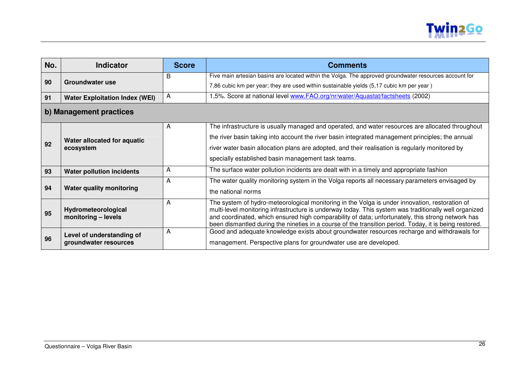

| No.                     | <b>Indicator</b>                           | <b>Score</b> | <b>Comments</b>                                                                                                                                                                                            |
|-------------------------|--------------------------------------------|--------------|------------------------------------------------------------------------------------------------------------------------------------------------------------------------------------------------------------|
| 90                      | Groundwater use                            | B            | Five main artesian basins are located within the Volga. The approved groundwater resources account for                                                                                                     |
|                         |                                            |              | 7,86 cubic km per year; they are used within sustainable yields (5,17 cubic km per year)                                                                                                                   |
| 91                      | <b>Water Exploitation Index (WEI)</b>      | A            | 1,5%. Score at national level www.FAO.org/nr/water/Aquastat/factsheets (2002)                                                                                                                              |
| b) Management practices |                                            |              |                                                                                                                                                                                                            |
| 92                      | Water allocated for aquatic<br>ecosystem   | A            | The infrastructure is usually managed and operated, and water resources are allocated throughout                                                                                                           |
|                         |                                            |              | the river basin taking into account the river basin integrated management principles; the annual                                                                                                           |
|                         |                                            |              | river water basin allocation plans are adopted, and their realisation is regularly monitored by                                                                                                            |
|                         |                                            |              | specially established basin management task teams.                                                                                                                                                         |
| 93                      | <b>Water pollution incidents</b>           | A            | The surface water pollution incidents are dealt with in a timely and appropriate fashion                                                                                                                   |
| 94                      | <b>Water quality monitoring</b>            | A            | The water quality monitoring system in the Volga reports all necessary parameters envisaged by                                                                                                             |
|                         |                                            |              | the national norms                                                                                                                                                                                         |
| 95                      |                                            | A            | The system of hydro-meteorological monitoring in the Volga is under innovation, restoration of                                                                                                             |
|                         | Hydrometeorological<br>monitoring - levels |              | multi-level monitoring infrastructure is underway today. This system was traditionally well organized<br>and coordinated, which ensured high comparability of data; unfortunately, this strong network has |
|                         |                                            |              | been dismantled during the nineties in a course of the transition period. Today, it is being restored.                                                                                                     |
|                         | Level of understanding of                  | A            | Good and adequate knowledge exists about groundwater resources recharge and withdrawals for                                                                                                                |
| 96                      | groundwater resources                      |              | management. Perspective plans for groundwater use are developed.                                                                                                                                           |